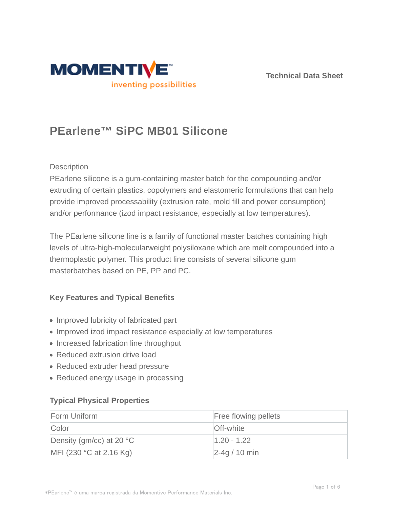



# **PEarlene™ SiPC MB01 Silicone**

## **Description**

PEarlene silicone is a gum-containing master batch for the compounding and/or extruding of certain plastics, copolymers and elastomeric formulations that can help provide improved processability (extrusion rate, mold fill and power consumption) and/or performance (izod impact resistance, especially at low temperatures).

The PEarlene silicone line is a family of functional master batches containing high levels of ultra-high-molecularweight polysiloxane which are melt compounded into a thermoplastic polymer. This product line consists of several silicone gum masterbatches based on PE, PP and PC.

## **Key Features and Typical Benefits**

- Improved lubricity of fabricated part
- Improved izod impact resistance especially at low temperatures
- Increased fabrication line throughput
- Reduced extrusion drive load
- Reduced extruder head pressure
- Reduced energy usage in processing

## **Typical Physical Properties**

| Form Uniform                       | <b>Free flowing pellets</b> |
|------------------------------------|-----------------------------|
| Color                              | <b>Off-white</b>            |
| Density (gm/cc) at 20 $^{\circ}$ C | $1.20 - 1.22$               |
| MFI (230 $^{\circ}$ C at 2.16 Kg)  | $2-4q/10$ min               |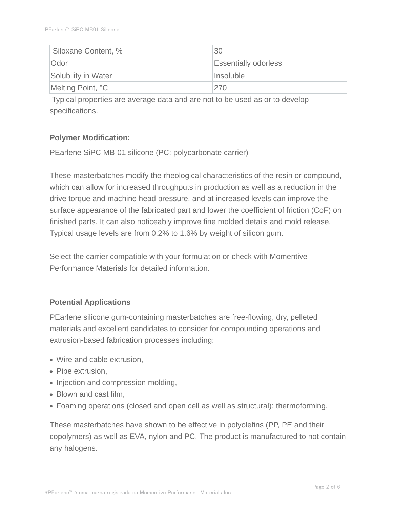| Siloxane Content, % | 30                          |
|---------------------|-----------------------------|
| <b>Odor</b>         | <b>Essentially odorless</b> |
| Solubility in Water | Insoluble                   |
| Melting Point, °C   | 270                         |

 Typical properties are average data and are not to be used as or to develop specifications.

## **Polymer Modification:**

PEarlene SiPC MB-01 silicone (PC: polycarbonate carrier)

These masterbatches modify the rheological characteristics of the resin or compound, which can allow for increased throughputs in production as well as a reduction in the drive torque and machine head pressure, and at increased levels can improve the surface appearance of the fabricated part and lower the coefficient of friction (CoF) on finished parts. It can also noticeably improve fine molded details and mold release. Typical usage levels are from 0.2% to 1.6% by weight of silicon gum.

Select the carrier compatible with your formulation or check with Momentive Performance Materials for detailed information.

## **Potential Applications**

PEarlene silicone gum-containing masterbatches are free-flowing, dry, pelleted materials and excellent candidates to consider for compounding operations and extrusion-based fabrication processes including:

- Wire and cable extrusion,
- Pipe extrusion,
- Injection and compression molding,
- Blown and cast film.
- Foaming operations (closed and open cell as well as structural); thermoforming.

These masterbatches have shown to be effective in polyolefins (PP, PE and their copolymers) as well as EVA, nylon and PC. The product is manufactured to not contain any halogens.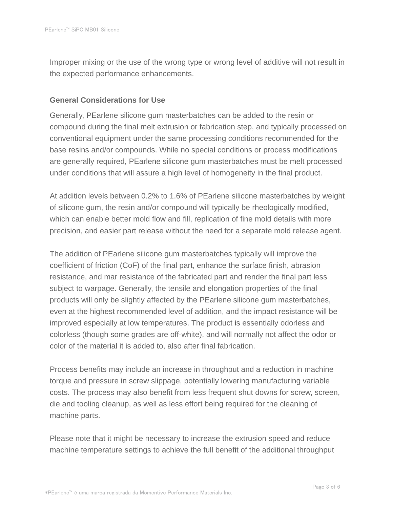Improper mixing or the use of the wrong type or wrong level of additive will not result in the expected performance enhancements.

## **General Considerations for Use**

Generally, PEarlene silicone gum masterbatches can be added to the resin or compound during the final melt extrusion or fabrication step, and typically processed on conventional equipment under the same processing conditions recommended for the base resins and/or compounds. While no special conditions or process modifications are generally required, PEarlene silicone gum masterbatches must be melt processed under conditions that will assure a high level of homogeneity in the final product.

At addition levels between 0.2% to 1.6% of PEarlene silicone masterbatches by weight of silicone gum, the resin and/or compound will typically be rheologically modified, which can enable better mold flow and fill, replication of fine mold details with more precision, and easier part release without the need for a separate mold release agent.

The addition of PEarlene silicone gum masterbatches typically will improve the coefficient of friction (CoF) of the final part, enhance the surface finish, abrasion resistance, and mar resistance of the fabricated part and render the final part less subject to warpage. Generally, the tensile and elongation properties of the final products will only be slightly affected by the PEarlene silicone gum masterbatches, even at the highest recommended level of addition, and the impact resistance will be improved especially at low temperatures. The product is essentially odorless and colorless (though some grades are off-white), and will normally not affect the odor or color of the material it is added to, also after final fabrication.

Process benefits may include an increase in throughput and a reduction in machine torque and pressure in screw slippage, potentially lowering manufacturing variable costs. The process may also benefit from less frequent shut downs for screw, screen, die and tooling cleanup, as well as less effort being required for the cleaning of machine parts.

Please note that it might be necessary to increase the extrusion speed and reduce machine temperature settings to achieve the full benefit of the additional throughput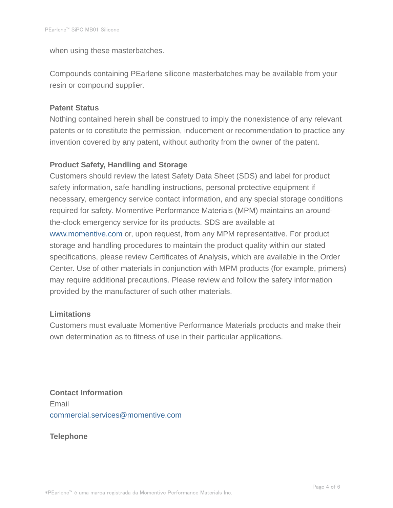when using these masterbatches.

Compounds containing PEarlene silicone masterbatches may be available from your resin or compound supplier.

## **Patent Status**

Nothing contained herein shall be construed to imply the nonexistence of any relevant patents or to constitute the permission, inducement or recommendation to practice any invention covered by any patent, without authority from the owner of the patent.

## **Product Safety, Handling and Storage**

Customers should review the latest Safety Data Sheet (SDS) and label for product safety information, safe handling instructions, personal protective equipment if necessary, emergency service contact information, and any special storage conditions required for safety. Momentive Performance Materials (MPM) maintains an aroundthe-clock emergency service for its products. SDS are available at www.momentive.com or, upon request, from any MPM representative. For product storage and handling procedures to maintain the product quality within our stated specifications, please review Certificates of Analysis, which are available in the Order Center. Use of other materials in conjunction with MPM products (for example, primers) may require additional precautions. Please review and follow the safety information provided by the manufacturer of such other materials.

## **Limitations**

Customers must evaluate Momentive Performance Materials products and make their own determination as to fitness of use in their particular applications.

**Contact Information** Email commercial.services@momentive.com

**Telephone**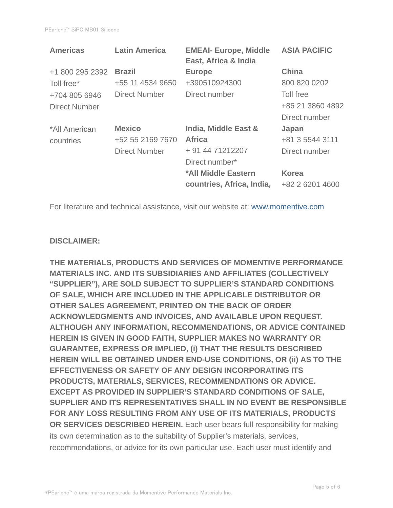| <b>Latin America</b> | <b>EMEAI- Europe, Middle</b><br>East, Africa & India | <b>ASIA PACIFIC</b> |
|----------------------|------------------------------------------------------|---------------------|
| <b>Brazil</b>        | <b>Europe</b>                                        | <b>China</b>        |
| +55 11 4534 9650     | +390510924300                                        | 800 820 0202        |
| <b>Direct Number</b> | Direct number                                        | Toll free           |
|                      |                                                      | +86 21 3860 4892    |
|                      |                                                      | Direct number       |
| <b>Mexico</b>        | India, Middle East &                                 | Japan               |
| +52 55 2169 7670     | <b>Africa</b>                                        | +81 3 5544 3111     |
| <b>Direct Number</b> | + 91 44 71212207                                     | Direct number       |
|                      | Direct number*                                       |                     |
|                      | *All Middle Eastern                                  | <b>Korea</b>        |
|                      | countries, Africa, India,                            | +82 2 6201 4600     |
|                      |                                                      |                     |

For literature and technical assistance, visit our website at: www.momentive.com

#### **DISCLAIMER:**

**THE MATERIALS, PRODUCTS AND SERVICES OF MOMENTIVE PERFORMANCE MATERIALS INC. AND ITS SUBSIDIARIES AND AFFILIATES (COLLECTIVELY "SUPPLIER"), ARE SOLD SUBJECT TO SUPPLIER'S STANDARD CONDITIONS OF SALE, WHICH ARE INCLUDED IN THE APPLICABLE DISTRIBUTOR OR OTHER SALES AGREEMENT, PRINTED ON THE BACK OF ORDER ACKNOWLEDGMENTS AND INVOICES, AND AVAILABLE UPON REQUEST. ALTHOUGH ANY INFORMATION, RECOMMENDATIONS, OR ADVICE CONTAINED HEREIN IS GIVEN IN GOOD FAITH, SUPPLIER MAKES NO WARRANTY OR GUARANTEE, EXPRESS OR IMPLIED, (i) THAT THE RESULTS DESCRIBED HEREIN WILL BE OBTAINED UNDER END-USE CONDITIONS, OR (ii) AS TO THE EFFECTIVENESS OR SAFETY OF ANY DESIGN INCORPORATING ITS PRODUCTS, MATERIALS, SERVICES, RECOMMENDATIONS OR ADVICE. EXCEPT AS PROVIDED IN SUPPLIER'S STANDARD CONDITIONS OF SALE, SUPPLIER AND ITS REPRESENTATIVES SHALL IN NO EVENT BE RESPONSIBLE FOR ANY LOSS RESULTING FROM ANY USE OF ITS MATERIALS, PRODUCTS OR SERVICES DESCRIBED HEREIN.** Each user bears full responsibility for making its own determination as to the suitability of Supplier's materials, services, recommendations, or advice for its own particular use. Each user must identify and